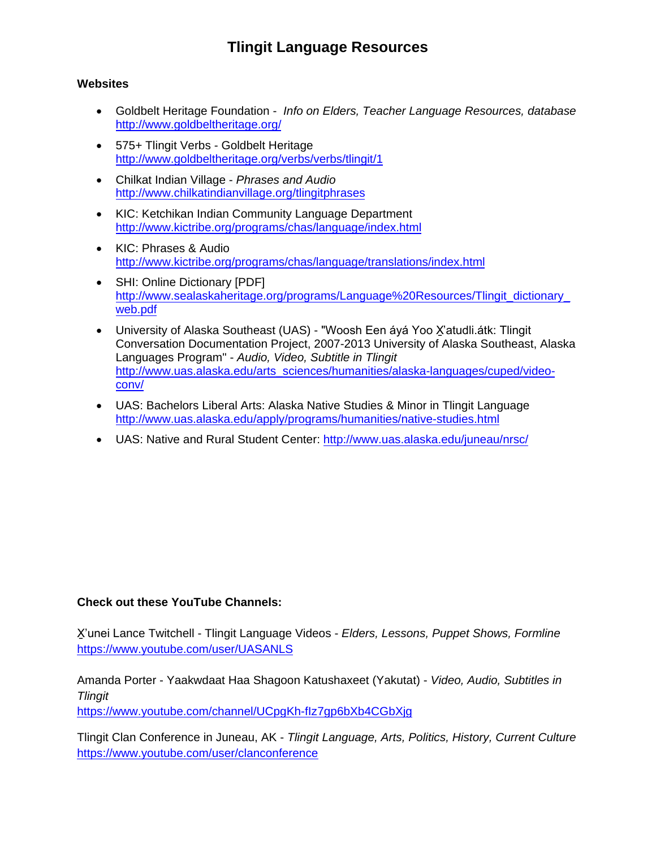## **Tlingit Language Resources**

#### **Websites**

- Goldbelt Heritage Foundation *Info on Elders, Teacher Language Resources, database* [http://www.goldb](http://tlingit.info/)eltheritage.org/
- 575+ Tlingit Verbs Goldbelt Heritage [http://www.goldbeltheritage.org/v](http://www.goldbeltheritage.org/)erbs/verbs/tlingit/1
- Chilkat Indian Village *Phrases and Audio* [http://www.chilkatindianvillage.org/tlingitphrases](http://www.goldbeltheritage.org/verbs/verbs/tlingit/1)
- KIC: Ketchikan Indian Community Language Department [http://www.kictribe.org/programs/chas/language/](http://www.chilkatindianvillage.org/tlingitphrases)index.html
- KIC: Phrases & Audio [http://www.kictribe.org/programs/chas/language/translations](http://www.kictribe.org/programs/chas/language/index.html)/index.html
- SHI: Online Dictionary [PDF] [http://www.sealaskaheritage.org/programs/Language%20Resources/Tli](http://www.kictribe.org/programs/chas/language/translations/index.html)ngit\_dictionary web.pdf
- University of Alaska Southeast (UAS) "Woosh Een áyá Yoo X'atudli.átk: Tlingit [Conversation Documentation Project, 2007-2013 University of Alaska](http://www.sealaskaheritage.org/programs/language_resources.htm) Southeast, Alaska Languages Program" - *Audio, Video, Subtitle in Tlingit* [http://www.uas.alaska.edu/arts\\_sciences/humanities/alaska-languages/cuped/video](http://www.sealaskaheritage.org/programs/Language%20Resources/Tlingit_dictionary_web.pdf)conv/
- [UAS: Ba](http://www.sealaskaheritage.org/programs/Language%20Resources/Tlingit_dictionary_web.pdf)chelors Liberal Arts: Alaska Native Studies & Minor in Tlingit Language [http://www.uas.alaska.edu/apply/programs/humanities/native-stu](http://192.254.233.219/%7Ealexka/khns.org/programing/tlingit-time)dies.html
- UAS: Native and Rural Student Center: http://www.uas.alaska.edu/juneau/nrsc/

### **Check out these YouTube Channels:**

X̱'unei Lance Twitchell - Tlingit Language Videos - *Elders, Lessons, Puppet Shows, Formline* <https://www.youtube.com/user/UASANLS>

Amanda Porter - Yaakwdaat Haa Shagoon Katushaxeet (Yakutat) - *Video, Audio, Subtitles in Tlingit*

<https://www.youtube.com/channel/UCpgKh-fIz7gp6bXb4CGbXjg>

Tlingit Clan Conference in Juneau, AK - *Tlingit Language, Arts, Politics, History, Current Culture* <https://www.youtube.com/user/clanconference>